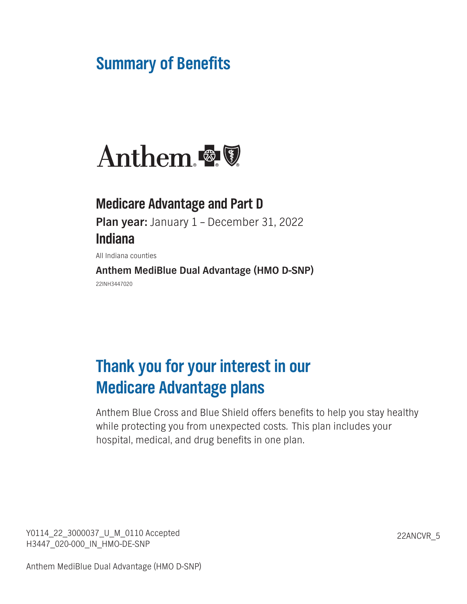# **Summary of Benefits**



# **Medicare Advantage and Part D Plan year: January 1 – December 31, 2022 Indiana**

**All Indiana counties**

**Anthem MediBlue Dual Advantage (HMO D-SNP) 22INH3447020**

# **Thank you for your interest in our Medicare Advantage plans**

**Anthem Blue Cross and Blue Shield offers benefits to help you stay healthy while protecting you from unexpected costs. This plan includes your hospital, medical, and drug benefits in one plan.**

**Y0114\_22\_3000037\_U\_M\_0110 Accepted 22ANCVR\_5 H3447\_020-000\_IN\_HMO-DE-SNP**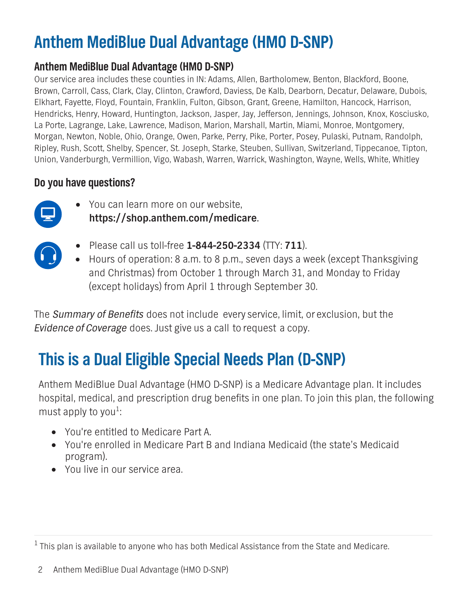# **Anthem MediBlue Dual Advantage (HMO D-SNP)**

**Our service area includes these counties in IN: Adams, Allen, Bartholomew, Benton, Blackford, Boone, Brown, Carroll, Cass, Clark, Clay, Clinton, Crawford, Daviess, De Kalb, Dearborn, Decatur, Delaware, Dubois, Elkhart, Fayette, Floyd, Fountain, Franklin, Fulton, Gibson, Grant, Greene, Hamilton, Hancock, Harrison, Hendricks, Henry, Howard, Huntington, Jackson, Jasper, Jay, Jefferson, Jennings, Johnson, Knox, Kosciusko, La Porte, Lagrange, Lake, Lawrence, Madison, Marion, Marshall, Martin, Miami, Monroe, Montgomery, Morgan, Newton, Noble, Ohio, Orange, Owen, Parke, Perry, Pike, Porter, Posey, Pulaski, Putnam, Randolph, Ripley, Rush, Scott, Shelby, Spencer, St. Joseph, Starke, Steuben, Sullivan, Switzerland, Tippecanoe, Tipton, Union, Vanderburgh, Vermillion, Vigo, Wabash, Warren, Warrick, Washington, Wayne, Wells, White, Whitley**

# **Do you have questions?**



**• You can learn more on our website, https://shop.anthem.com/medicare.**



- **• Please call us toll-free 1-844-250-2334 (TTY: 711).**
- **• Hours of operation: 8 a.m. to 8 p.m., seven days a week (except Thanksgiving and Christmas) from October 1 through March 31, and Monday to Friday (except holidays) from April 1 through September 30.**

**The** *Summary of Benefits* **does not include every service, limit, or exclusion, but the** *Evidence of Coverage* **does. Just give us a call to request a copy.**

# **This is a Dual Eligible Special Needs Plan (D-SNP)**

**Anthem MediBlue Dual Advantage (HMO D-SNP) is a Medicare Advantage plan. It includes hospital, medical, and prescription drug benefits in one plan. To join this plan, the following**  must apply to you<sup>1</sup>:

- **• You're entitled to Medicare Part A.**
- **• You're enrolled in Medicare Part B and Indiana Medicaid (the state's Medicaid program).**
- **• You live in our service area.**

**<sup>1</sup> This plan is available to anyone who has both Medical Assistance from the State and Medicare.**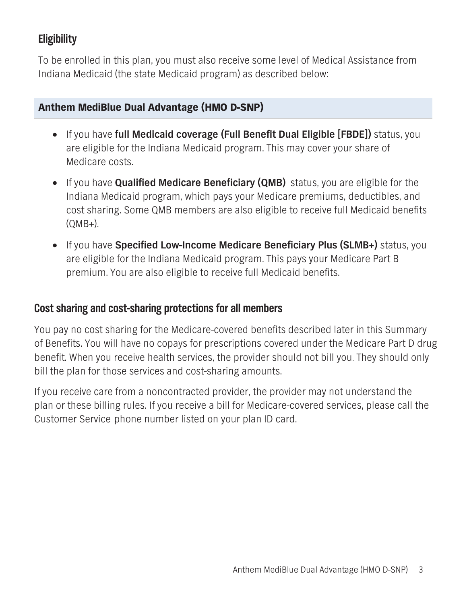# **Eligibility**

**To be enrolled in this plan, you must also receive some level of Medical Assistance from Indiana Medicaid (the state Medicaid program) as described below:**

#### **Anthem MediBlue Dual Advantage (HMO D-SNP)**

- **• If you have full Medicaid coverage (Full Benefit Dual Eligible [FBDE]) status, you are eligible for the Indiana Medicaid program. This may cover your share of Medicare costs.**
- **• If you have Qualified Medicare Beneficiary (QMB) status, you are eligible for the Indiana Medicaid program, which pays your Medicare premiums, deductibles, and cost sharing. Some QMB members are also eligible to receive full Medicaid benefits (QMB+).**
- **• If you have Specified Low-Income Medicare Beneficiary Plus (SLMB+) status, you are eligible for the Indiana Medicaid program. This pays your Medicare Part B premium. You are also eligible to receive full Medicaid benefits.**

### **Cost sharing and cost-sharing protections for all members**

**You pay no cost sharing for the Medicare-covered benefits described later in this Summary of Benefits. You will have no copays for prescriptions covered under the Medicare Part D drug benefit. When you receive health services, the provider should not bill you. They should only bill the plan for those services and cost-sharing amounts.**

**If you receive care from a noncontracted provider, the provider may not understand the plan or these billing rules. If you receive a bill for Medicare-covered services, please call the Customer Service phone number listed on your plan ID card.**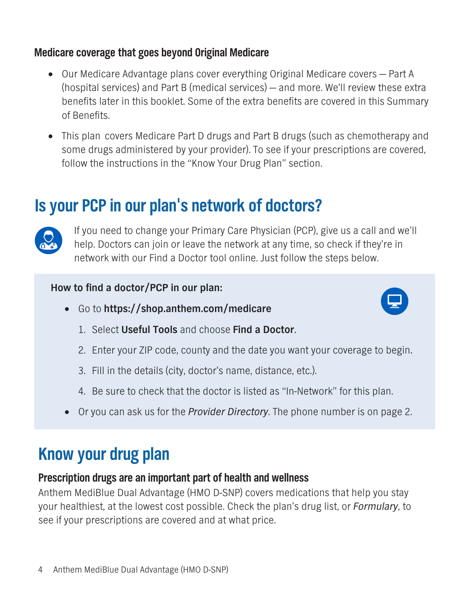# **Medicare coverage that goes beyond Original Medicare**

- **• Our Medicare Advantage plans cover everything Original Medicare covers Part A (hospital services) and Part B (medical services) — and more. We'll review these extra benefits later in this booklet. Some of the extra benefits are covered in this Summary of Benefits.**
- **• This plan covers Medicare Part D drugs and Part B drugs (such as chemotherapy and some drugs administered by your provider). To see if your prescriptions are covered, follow the instructions in the "Know Your Drug Plan" section.**

# **Is your PCP in our plan's network of doctors?**



**If you need to change your Primary Care Physician (PCP), give us a call and we'll help. Doctors can join or leave the network at any time, so check if they're in network with our Find a Doctor tool online. Just follow the steps below.**

### **How to find a doctor/PCP in our plan:**

**• Go to <https://shop.anthem.com/medicare>**



- **1. Select Useful Tools and choose Find a Doctor.**
- **2. Enter your ZIP code, county and the date you want your coverage to begin.**
- **3. Fill in the details (city, doctor's name, distance, etc.).**
- **4. Be sure to check that the doctor is listed as "In-Network" for this plan.**
- **• Or you can ask us for the** *Provider Directory***. The phone number is on page 2.**

# **Know your drug plan**

### **Prescription drugs are an important part of health and wellness**

**Anthem MediBlue Dual Advantage (HMO D-SNP) covers medications that help you stay your healthiest, at the lowest cost possible. Check the plan's drug list, or** *Formulary***, to see if your prescriptions are covered and at what price.**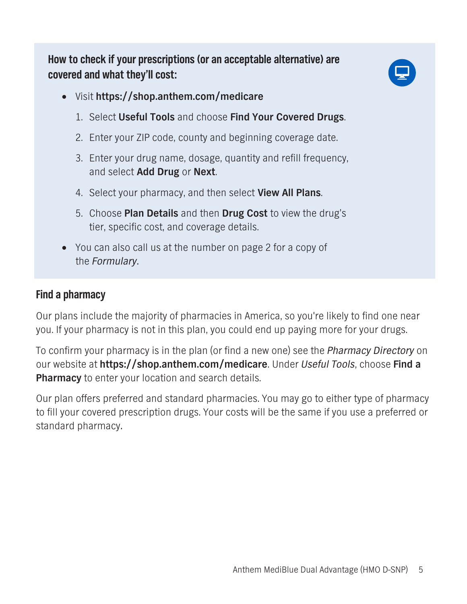**How to check if your prescriptions (or an acceptable alternative) are covered and what they'll cost:**



- **• Visit https://shop.anthem.com/medicare**
	- **1. Select Useful Tools and choose Find Your Covered Drugs.**
	- **2. Enter your ZIP code, county and beginning coverage date.**
	- **3. Enter your drug name, dosage, quantity and refill frequency, and select Add Drug or Next.**
	- **4. Select your pharmacy, and then select View All Plans.**
	- **5. Choose Plan Details and then Drug Cost to view the drug's tier, specific cost, and coverage details.**
- **• You can also call us at the number on page 2 for a copy of the** *Formulary***.**

### **Find a pharmacy**

**Our plans include the majority of pharmacies in America, so you're likely to find one near you. If your pharmacy is not in this plan, you could end up paying more for your drugs.**

**To confirm your pharmacy is in the plan (or find a new one) see the** *Pharmacy Directory* **on our website at https://shop.anthem.com/medicare. Under** *Useful Tools***, choose Find a Pharmacy to enter your location and search details.** 

**Our plan offers preferred and standard pharmacies. You may go to either type of pharmacy to fill your covered prescription drugs. Your costs will be the same if you use a preferred or standard pharmacy.**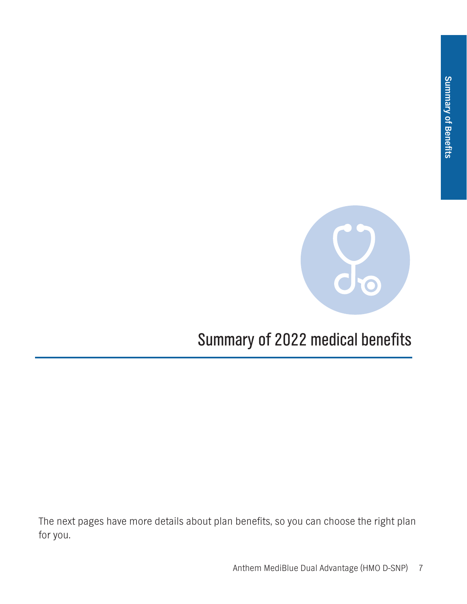

# **Summary of 2022 medical benefits**

**The next pages have more details about plan benefits, so you can choose the right plan for you.**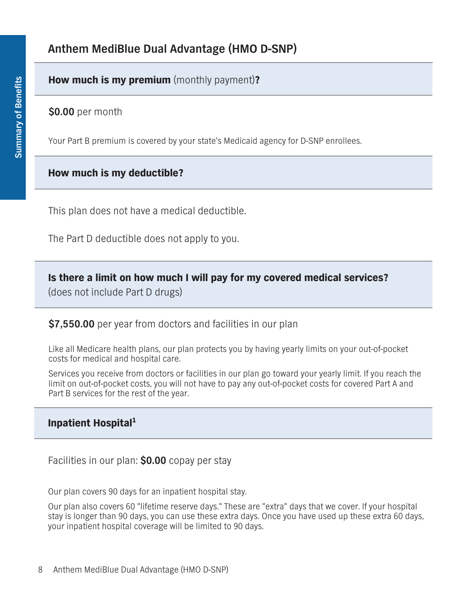#### **How much is my premium (monthly payment)?**

**\$0.00 per month**

**Your Part B premium is covered by your state's Medicaid agency for D-SNP enrollees.**

#### **How much is my deductible?**

**This plan does not have a medical deductible.**

**The Part D deductible does not apply to you.**

**Is there a limit on how much I will pay for my covered medical services?**

**(does not include Part D drugs)**

**\$7,550.00 per year from doctors and facilities in our plan**

**Like all Medicare health plans, our plan protects you by having yearly limits on your out-of-pocket costs for medical and hospital care.**

**Services you receive from doctors or facilities in our plan go toward your yearly limit. If you reach the limit on out-of-pocket costs, you will not have to pay any out-of-pocket costs for covered Part A and Part B services for the rest of the year.**

#### **Inpatient Hospital<sup>1</sup>**

**Facilities in our plan: \$0.00 copay per stay**

**Our plan covers 90 days for an inpatient hospital stay.**

**Our plan also covers 60 "lifetime reserve days." These are "extra" days that we cover. If your hospital stay is longer than 90 days, you can use these extra days. Once you have used up these extra 60 days, your inpatient hospital coverage will be limited to 90 days.**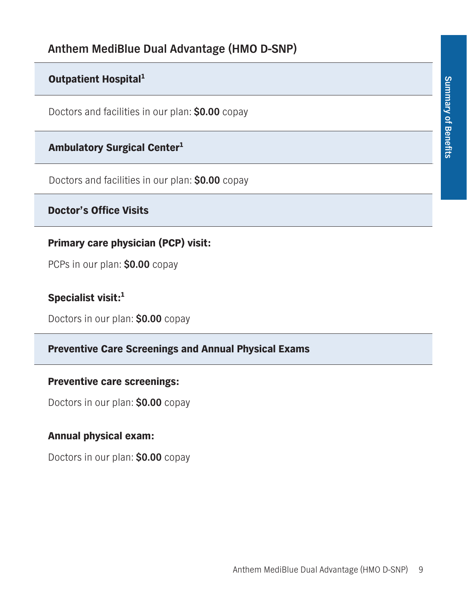# **Outpatient Hospital<sup>1</sup>**

**Doctors and facilities in our plan: \$0.00 copay**

### **Ambulatory Surgical Center1**

**Doctors and facilities in our plan: \$0.00 copay**

### **Doctor's Office Visits**

### **Primary care physician (PCP) visit:**

**PCPs in our plan: \$0.00 copay** 

## **Specialist visit:<sup>1</sup>**

**Doctors in our plan: \$0.00 copay**

#### **Preventive Care Screenings and Annual Physical Exams**

#### **Preventive care screenings:**

**Doctors in our plan: \$0.00 copay**

#### **Annual physical exam:**

**Doctors in our plan: \$0.00 copay**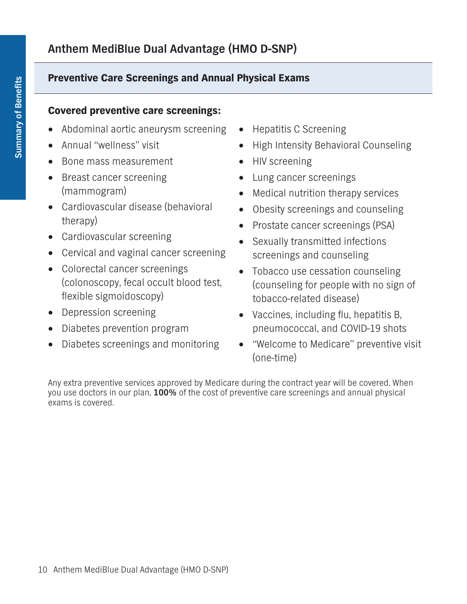### **Preventive Care Screenings and Annual Physical Exams**

#### **Covered preventive care screenings:**

- **• Abdominal aortic aneurysm screening**
- **• Annual "wellness" visit**
- **• Bone mass measurement**
- **• Breast cancer screening (mammogram)**
- **• Cardiovascular disease (behavioral therapy)**
- **• Cardiovascular screening**
- **• Cervical and vaginal cancer screening**
- **• Colorectal cancer screenings (colonoscopy, fecal occult blood test, flexible sigmoidoscopy)**
- **• Depression screening**
- **• Diabetes prevention program**
- **• Diabetes screenings and monitoring**
- **• Hepatitis C Screening**
- **• High Intensity Behavioral Counseling**
- **• HIV screening**
- **• Lung cancer screenings**
- **• Medical nutrition therapy services**
- **• Obesity screenings and counseling**
- **• Prostate cancer screenings (PSA)**
- **• Sexually transmitted infections screenings and counseling**
- **• Tobacco use cessation counseling (counseling for people with no sign of tobacco-related disease)**
- **• Vaccines, including flu, hepatitis B, pneumococcal, and COVID-19 shots**
- **• "Welcome to Medicare" preventive visit (one-time)**

**Any extra preventive services approved by Medicare during the contract year will be covered. When you use doctors in our plan, 100% of the cost of preventive care screenings and annual physical exams is covered.**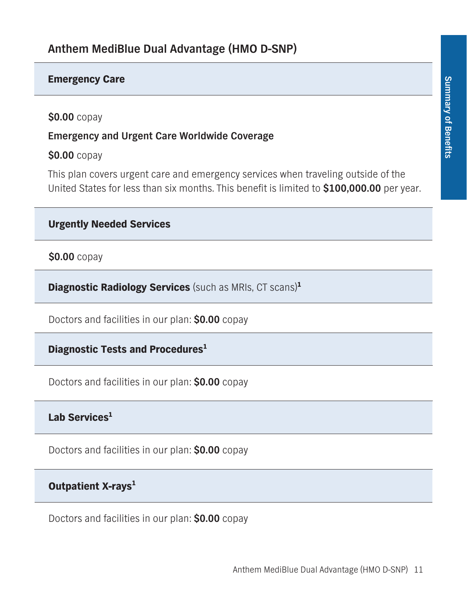#### **Emergency Care**

**\$0.00 copay**

**Emergency and Urgent Care Worldwide Coverage**

**\$0.00 copay**

**This plan covers urgent care and emergency services when traveling outside of the United States for less than six months. This benefit is limited to \$100,000.00 per year.**

```
Urgently Needed Services
```
**\$0.00 copay**

**Diagnostic Radiology Services (such as MRIs, CT scans)<sup>1</sup>**

**Doctors and facilities in our plan: \$0.00 copay**

**Diagnostic Tests and Procedures1**

**Doctors and facilities in our plan: \$0.00 copay**

### Lab Services<sup>1</sup>

**Doctors and facilities in our plan: \$0.00 copay**

# **Outpatient X-rays<sup>1</sup>**

**Doctors and facilities in our plan: \$0.00 copay**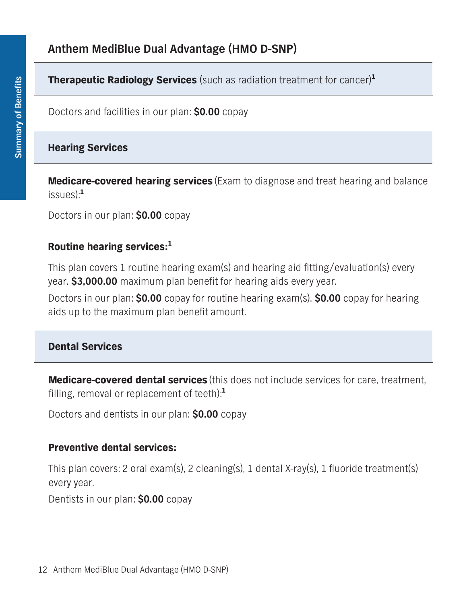**Therapeutic Radiology Services (such as radiation treatment for cancer)<sup>1</sup>**

**Doctors and facilities in our plan: \$0.00 copay**

# **Hearing Services**

**Medicare-covered hearing services (Exam to diagnose and treat hearing and balance issues):<sup>1</sup>**

**Doctors in our plan: \$0.00 copay**

# **Routine hearing services:<sup>1</sup>**

**This plan covers 1 routine hearing exam(s) and hearing aid fitting/evaluation(s) every year. \$3,000.00 maximum plan benefit for hearing aids every year.** 

**Doctors in our plan: \$0.00 copay for routine hearing exam(s). \$0.00 copay for hearing aids up to the maximum plan benefit amount.**

# **Dental Services**

**Medicare-covered dental services (this does not include services for care, treatment, filling, removal or replacement of teeth):<sup>1</sup>**

**Doctors and dentists in our plan: \$0.00 copay**

# **Preventive dental services:**

**This plan covers: 2 oral exam(s), 2 cleaning(s), 1 dental X-ray(s), 1 fluoride treatment(s) every year.**

**Dentists in our plan: \$0.00 copay**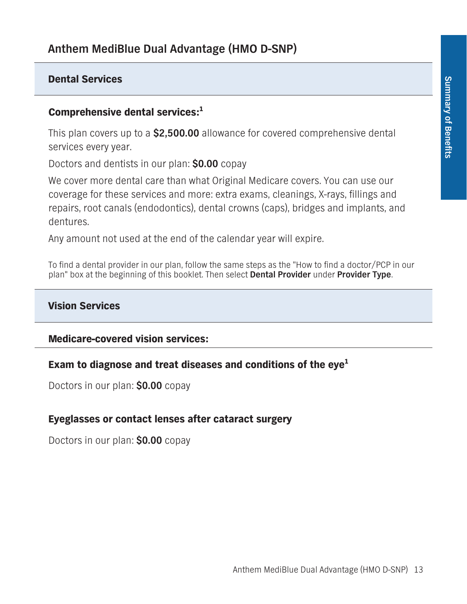#### **Dental Services**

#### **Comprehensive dental services:<sup>1</sup>**

**This plan covers up to a \$2,500.00 allowance for covered comprehensive dental services every year.** 

**Doctors and dentists in our plan: \$0.00 copay**

**We cover more dental care than what Original Medicare covers. You can use our coverage for these services and more: extra exams, cleanings, X-rays, fillings and repairs, root canals (endodontics), dental crowns (caps), bridges and implants, and dentures.**

**Any amount not used at the end of the calendar year will expire.** 

**To find a dental provider in our plan, follow the same steps as the "How to find a doctor/PCP in our plan" box at the beginning of this booklet. Then select Dental Provider under Provider Type.**

#### **Vision Services**

#### **Medicare-covered vision services:**

#### **Exam to diagnose and treat diseases and conditions of the eye1**

**Doctors in our plan: \$0.00 copay**

#### **Eyeglasses or contact lenses after cataract surgery**

**Doctors in our plan: \$0.00 copay**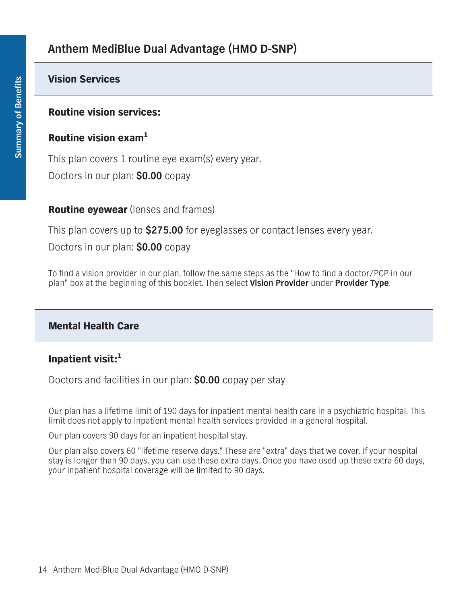#### **Vision Services**

#### **Routine vision services:**

#### **Routine vision exam<sup>1</sup>**

**This plan covers 1 routine eye exam(s) every year. Doctors in our plan: \$0.00 copay**

#### **Routine eyewear (lenses and frames)**

**This plan covers up to \$275.00 for eyeglasses or contact lenses every year.**

**Doctors in our plan: \$0.00 copay**

**To find a vision provider in our plan, follow the same steps as the "How to find a doctor/PCP in our plan" box at the beginning of this booklet. Then select Vision Provider under Provider Type.** 

#### **Mental Health Care**

#### **Inpatient visit:<sup>1</sup>**

**Doctors and facilities in our plan: \$0.00 copay per stay**

**Our plan has a lifetime limit of 190 days for inpatient mental health care in a psychiatric hospital. This limit does not apply to inpatient mental health services provided in a general hospital.**

**Our plan covers 90 days for an inpatient hospital stay.**

**Our plan also covers 60 "lifetime reserve days." These are "extra" days that we cover. If your hospital stay is longer than 90 days, you can use these extra days. Once you have used up these extra 60 days, your inpatient hospital coverage will be limited to 90 days.**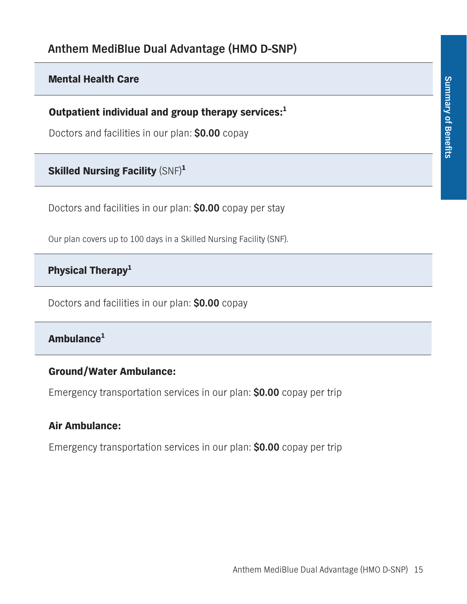#### **Mental Health Care**

**Outpatient individual and group therapy services:<sup>1</sup>**

**Doctors and facilities in our plan: \$0.00 copay**

### **Skilled Nursing Facility (SNF)<sup>1</sup>**

**Doctors and facilities in our plan: \$0.00 copay per stay**

**Our plan covers up to 100 days in a Skilled Nursing Facility (SNF).**

### **Physical Therapy1**

**Doctors and facilities in our plan: \$0.00 copay**

### **Ambulance<sup>1</sup>**

#### **Ground/Water Ambulance:**

**Emergency transportation services in our plan: \$0.00 copay per trip**

#### **Air Ambulance:**

**Emergency transportation services in our plan: \$0.00 copay per trip**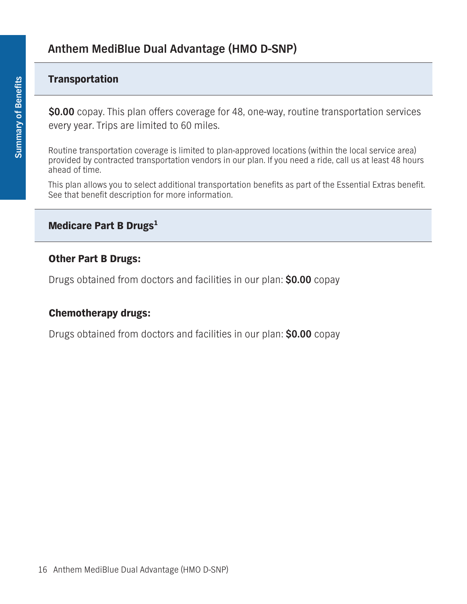#### **Transportation**

**\$0.00 copay. This plan offers coverage for 48, one-way, routine transportation services every year. Trips are limited to 60 miles.**

**Routine transportation coverage is limited to plan-approved locations (within the local service area) provided by contracted transportation vendors in our plan. If you need a ride, call us at least 48 hours ahead of time.**

**This plan allows you to select additional transportation benefits as part of the Essential Extras benefit. See that benefit description for more information.** 

#### **Medicare Part B Drugs<sup>1</sup>**

#### **Other Part B Drugs:**

**Drugs obtained from doctors and facilities in our plan: \$0.00 copay**

#### **Chemotherapy drugs:**

**Drugs obtained from doctors and facilities in our plan: \$0.00 copay**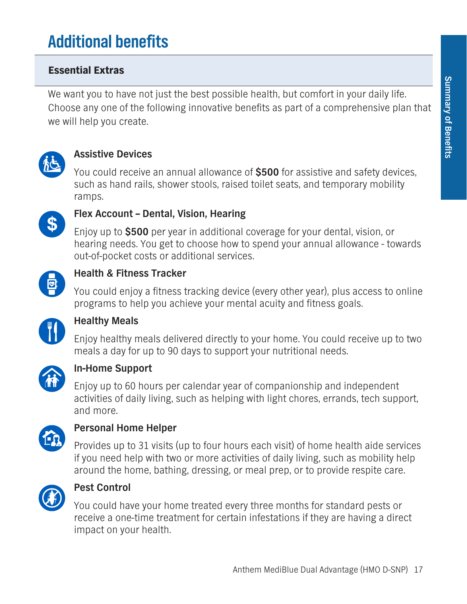# **Additional benefits**

## **Essential Extras**

**We want you to have not just the best possible health, but comfort in your daily life. Choose any one of the following innovative benefits as part of a comprehensive plan that we will help you create.**



### **Assistive Devices**

**You could receive an annual allowance of \$500 for assistive and safety devices, such as hand rails, shower stools, raised toilet seats, and temporary mobility ramps.**



#### **Flex Account – Dental, Vision, Hearing**

**Enjoy up to \$500 per year in additional coverage for your dental, vision, or hearing needs. You get to choose how to spend your annual allowance - towards out-of-pocket costs or additional services.**



#### **Health & Fitness Tracker**

**You could enjoy a fitness tracking device (every other year), plus access to online programs to help you achieve your mental acuity and fitness goals.**



### **Healthy Meals**

**Enjoy healthy meals delivered directly to your home. You could receive up to two meals a day for up to 90 days to support your nutritional needs.**



#### **In-Home Support**

**Enjoy up to 60 hours per calendar year of companionship and independent activities of daily living, such as helping with light chores, errands, tech support, and more.**



### **Personal Home Helper**

**Provides up to 31 visits (up to four hours each visit) of home health aide services if you need help with two or more activities of daily living, such as mobility help around the home, bathing, dressing, or meal prep, or to provide respite care.**



#### **Pest Control**

**You could have your home treated every three months for standard pests or receive a one-time treatment for certain infestations if they are having a direct impact on your health.**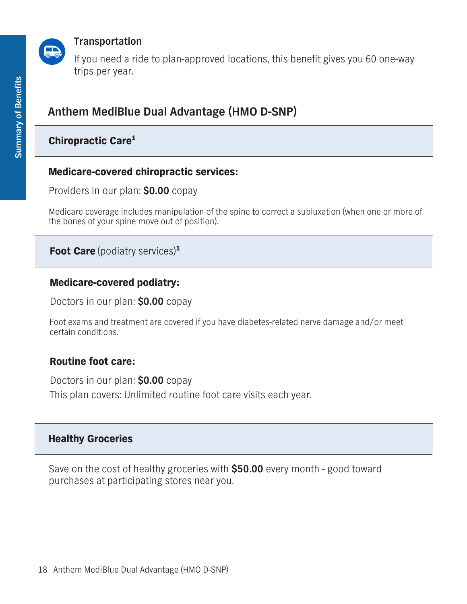

#### **Transportation**

**If you need a ride to plan-approved locations, this benefit gives you 60 one-way trips per year.**

# **Anthem MediBlue Dual Advantage (HMO D-SNP)**

### **Chiropractic Care1**

#### **Medicare-covered chiropractic services:**

**Providers in our plan: \$0.00 copay**

**Medicare coverage includes manipulation of the spine to correct a subluxation (when one or more of the bones of your spine move out of position).**

**Foot Care (podiatry services)<sup>1</sup>**

#### **Medicare-covered podiatry:**

**Doctors in our plan: \$0.00 copay**

**Foot exams and treatment are covered if you have diabetes-related nerve damage and/or meet certain conditions.**

#### **Routine foot care:**

**Doctors in our plan: \$0.00 copay This plan covers: Unlimited routine foot care visits each year.**

#### **Healthy Groceries**

**Save on the cost of healthy groceries with \$50.00 every month - good toward purchases at participating stores near you.**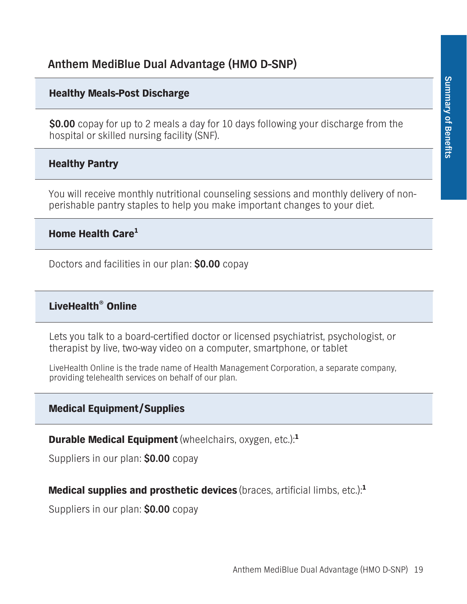#### **Healthy Meals-Post Discharge**

**\$0.00 copay for up to 2 meals a day for 10 days following your discharge from the hospital or skilled nursing facility (SNF).**

#### **Healthy Pantry**

**You will receive monthly nutritional counseling sessions and monthly delivery of nonperishable pantry staples to help you make important changes to your diet.** 

### **Home Health Care1**

**Doctors and facilities in our plan: \$0.00 copay**

#### **LiveHealth® Online**

**Lets you talk to a board-certified doctor or licensed psychiatrist, psychologist, or therapist by live, two-way video on a computer, smartphone, or tablet**

**LiveHealth Online is the trade name of Health Management Corporation, a separate company, providing telehealth services on behalf of our plan.**

#### **Medical Equipment/Supplies**

**Durable Medical Equipment(wheelchairs, oxygen, etc.):<sup>1</sup>**

**Suppliers in our plan: \$0.00 copay**

#### **Medical supplies and prosthetic devices (braces, artificial limbs, etc.):<sup>1</sup>**

**Suppliers in our plan: \$0.00 copay**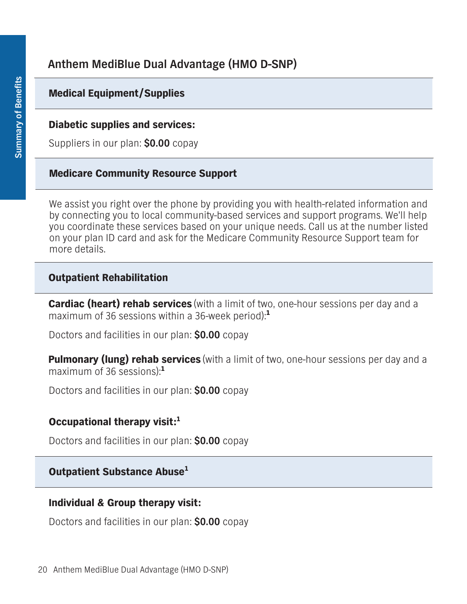### **Medical Equipment/Supplies**

#### **Diabetic supplies and services:**

**Suppliers in our plan: \$0.00 copay**

#### **Medicare Community Resource Support**

**We assist you right over the phone by providing you with health-related information and by connecting you to local community-based services and support programs. We'll help you coordinate these services based on your unique needs. Call us at the number listed on your plan ID card and ask for the Medicare Community Resource Support team for more details.**

#### **Outpatient Rehabilitation**

**Cardiac (heart) rehab services (with a limit of two, one-hour sessions per day and a maximum of 36 sessions within a 36-week period):<sup>1</sup>**

**Doctors and facilities in our plan: \$0.00 copay**

**Pulmonary (lung) rehab services (with a limit of two, one-hour sessions per day and a maximum of 36 sessions):<sup>1</sup>**

**Doctors and facilities in our plan: \$0.00 copay**

#### **Occupational therapy visit:<sup>1</sup>**

**Doctors and facilities in our plan: \$0.00 copay**

# **Outpatient Substance Abuse1**

#### **Individual & Group therapy visit:**

**Doctors and facilities in our plan: \$0.00 copay**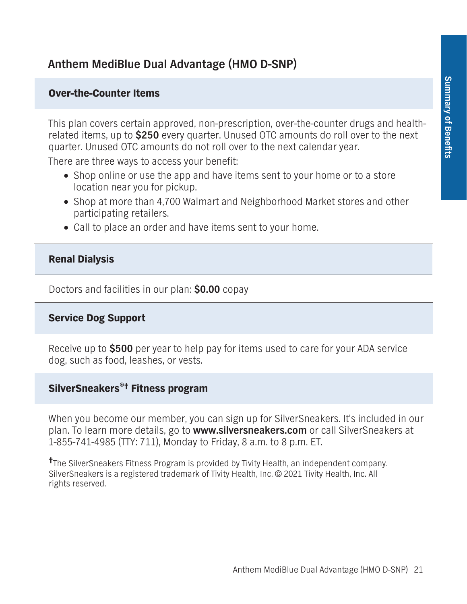#### **Over-the-Counter Items**

**This plan covers certain approved, non-prescription, over-the-counter drugs and healthrelated items, up to \$250 every quarter. Unused OTC amounts do roll over to the next quarter. Unused OTC amounts do not roll over to the next calendar year.**

**There are three ways to access your benefit:**

- □ Shop online or use the app and have items sent to your home or to a store **location near you for pickup.**
- **• Shop at more than 4,700 Walmart and Neighborhood Market stores and other participating retailers.**
- **• Call to place an order and have items sent to your home.**

#### **Renal Dialysis**

**Doctors and facilities in our plan: \$0.00 copay**

#### **Service Dog Support**

**Receive up to \$500 per year to help pay for items used to care for your ADA service dog, such as food, leashes, or vests.** 

#### **SilverSneakers®† Fitness program**

**When you become our member, you can sign up for SilverSneakers. It's included in our plan. To learn more details, go to www.silversneakers.com or call SilverSneakers at 1-855-741-4985 (TTY: 711), Monday to Friday, 8 a.m. to 8 p.m. ET.**

**† The SilverSneakers Fitness Program is provided by Tivity Health, an independent company. SilverSneakers is a registered trademark of Tivity Health, Inc. © 2021 Tivity Health, Inc. All rights reserved.**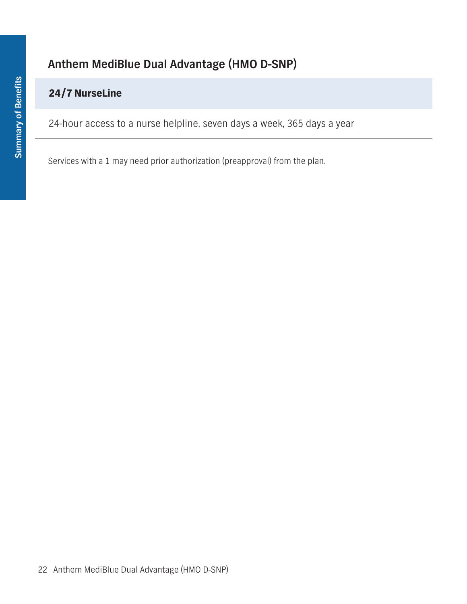## **24/7 NurseLine**

**24-hour access to a nurse helpline, seven days a week, 365 days a year**

**Services with a 1 may need prior authorization (preapproval) from the plan.**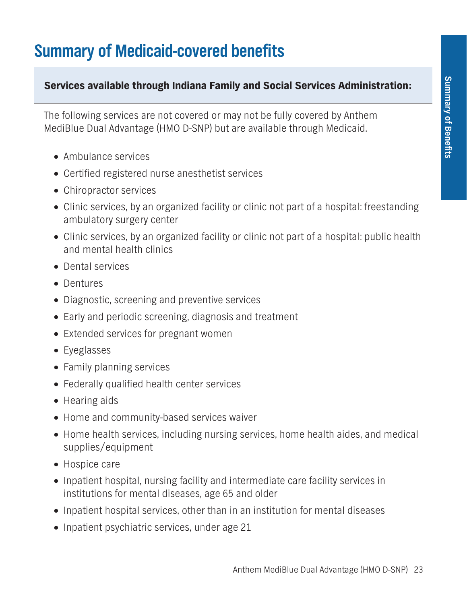# **Summary of Medicaid-covered benefits**

#### **Services available through Indiana Family and Social Services Administration:**

**The following services are not covered or may not be fully covered by Anthem MediBlue Dual Advantage (HMO D-SNP) but are available through Medicaid.**

- **• Ambulance services**
- **• Certified registered nurse anesthetist services**
- **• Chiropractor services**
- **• Clinic services, by an organized facility or clinic not part of a hospital: freestanding ambulatory surgery center**
- **• Clinic services, by an organized facility or clinic not part of a hospital: public health and mental health clinics**
- **• Dental services**
- **• Dentures**
- **• Diagnostic, screening and preventive services**
- **• Early and periodic screening, diagnosis and treatment**
- **• Extended services for pregnant women**
- **• Eyeglasses**
- **• Family planning services**
- **• Federally qualified health center services**
- **• Hearing aids**
- **• Home and community-based services waiver**
- □ Home health services, including nursing services, home health aides, and medical **supplies/equipment**
- **• Hospice care**
- **• Inpatient hospital, nursing facility and intermediate care facility services in institutions for mental diseases, age 65 and older**
- **• Inpatient hospital services, other than in an institution for mental diseases**
- **• Inpatient psychiatric services, under age 21**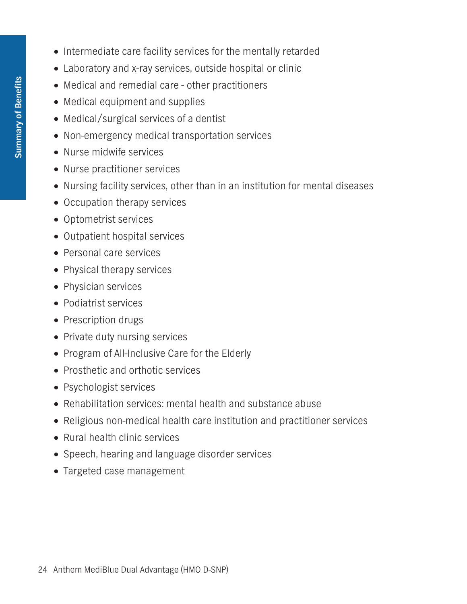- **• Intermediate care facility services for the mentally retarded**
- **• Laboratory and x-ray services, outside hospital or clinic**
- **• Medical and remedial care other practitioners**
- **• Medical equipment and supplies**
- **• Medical/surgical services of a dentist**
- **• Non-emergency medical transportation services**
- **• Nurse midwife services**
- **• Nurse practitioner services**
- **• Nursing facility services, other than in an institution for mental diseases**
- **• Occupation therapy services**
- **• Optometrist services**
- **• Outpatient hospital services**
- **• Personal care services**
- **• Physical therapy services**
- **• Physician services**
- **• Podiatrist services**
- **• Prescription drugs**
- **• Private duty nursing services**
- **• Program of All-Inclusive Care for the Elderly**
- **• Prosthetic and orthotic services**
- **• Psychologist services**
- **• Rehabilitation services: mental health and substance abuse**
- **• Religious non-medical health care institution and practitioner services**
- **• Rural health clinic services**
- **• Speech, hearing and language disorder services**
- **• Targeted case management**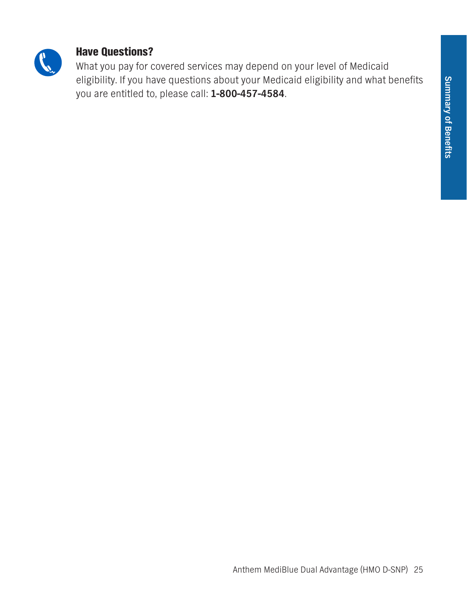

## **Have Questions?**

**What you pay for covered services may depend on your level of Medicaid eligibility. If you have questions about your Medicaid eligibility and what benefits you are entitled to, please call: 1-800-457-4584.**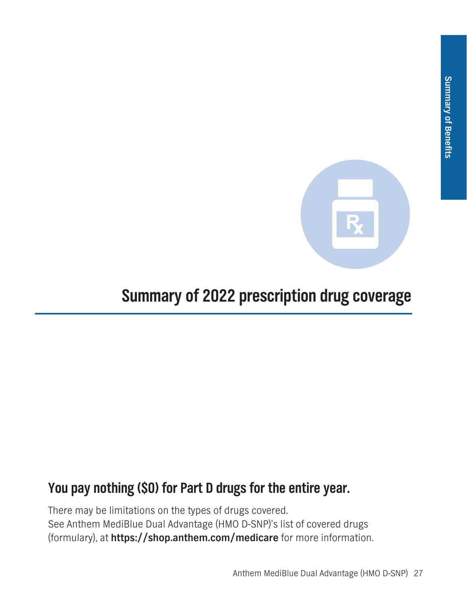

# **Summary of 2022 prescription drug coverage**

# **You pay nothing (\$0) for Part D drugs for the entire year.**

**There may be limitations on the types of drugs covered. See Anthem MediBlue Dual Advantage (HMO D-SNP)'s list of covered drugs (formulary), at https://shop.anthem.com/medicare for more information.**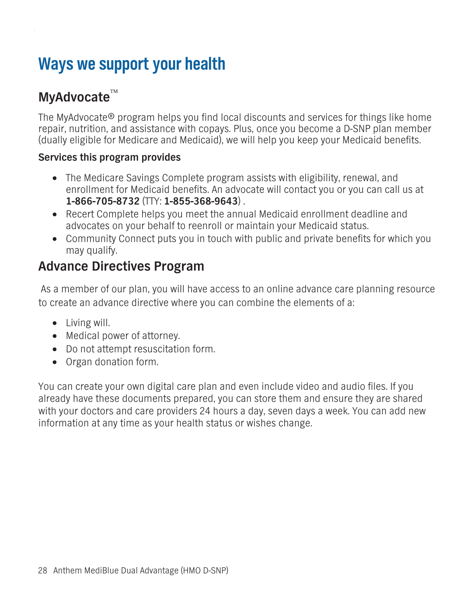# **Ways we support your health**

# **MyAdvocate**

**The MyAdvocate® program helps you find local discounts and services for things like home repair, nutrition, and assistance with copays. Plus, once you become a D-SNP plan member (dually eligible for Medicare and Medicaid), we will help you keep your Medicaid benefits.** 

#### **Services this program provides**

- **• The Medicare Savings Complete program assists with eligibility, renewal, and enrollment for Medicaid benefits. An advocate will contact you or you can call us at 1-866-705-8732 (TTY: 1-855-368-9643) .**
- **• Recert Complete helps you meet the annual Medicaid enrollment deadline and advocates on your behalf to reenroll or maintain your Medicaid status.**
- **• Community Connect puts you in touch with public and private benefits for which you may qualify.**

# **Advance Directives Program**

 **As a member of our plan, you will have access to an online advance care planning resource to create an advance directive where you can combine the elements of a:**

- **• Living will.**
- **• Medical power of attorney.**
- **• Do not attempt resuscitation form.**
- **• Organ donation form.**

**You can create your own digital care plan and even include video and audio files. If you already have these documents prepared, you can store them and ensure they are shared with your doctors and care providers 24 hours a day, seven days a week. You can add new information at any time as your health status or wishes change.**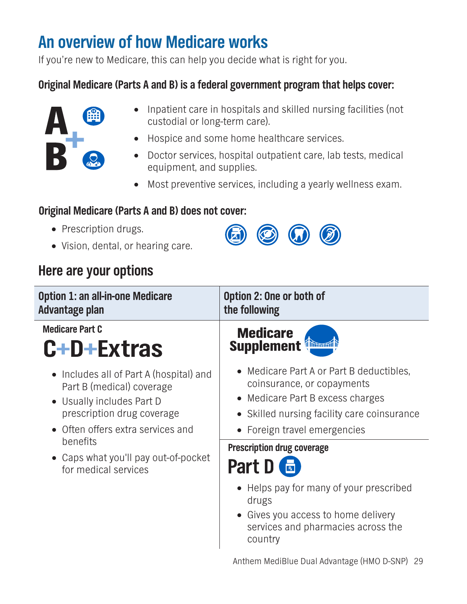# **An overview of how Medicare works**

**If you're new to Medicare, this can help you decide what is right for you.**

# **Original Medicare (Parts A and B) is a federal government program that helps cover:**



- **• Inpatient care in hospitals and skilled nursing facilities (not custodial or long-term care).**
- **• Hospice and some home healthcare services.**
- **• Doctor services, hospital outpatient care, lab tests, medical equipment, and supplies.**
- **• Most preventive services, including a yearly wellness exam.**

 $\circledcirc$ 

# **Original Medicare (Parts A and B) does not cover:**

- **• Prescription drugs.**
- **• Vision, dental, or hearing care.**

# **Here are your options**

| <b>Option 1: an all-in-one Medicare</b><br>Advantage plan                                                                                                                                                                                                     | Option 2: One or both of<br>the following                                                                                                                                                       |
|---------------------------------------------------------------------------------------------------------------------------------------------------------------------------------------------------------------------------------------------------------------|-------------------------------------------------------------------------------------------------------------------------------------------------------------------------------------------------|
| <b>Medicare Part C</b><br>C+D+Extras                                                                                                                                                                                                                          | <b>Medicare</b><br><b>Supplement</b>                                                                                                                                                            |
| $\Box$ Includes all of Part A (hospital) and<br>Part B (medical) coverage<br>$\Box$ Usually includes Part D<br>prescription drug coverage<br>Often offers extra services and<br>benefits<br>$\Box$ Caps what you'll pay out-of-pocket<br>for medical services | $\Box$ Medicare Part A or Part B deductibles,<br>coinsurance, or copayments<br>$\Box$ Medicare Part B excess charges<br>Skilled nursing facility care coinsurance<br>Foreign travel emergencies |
|                                                                                                                                                                                                                                                               | <b>Prescription drug coverage</b><br>Part D                                                                                                                                                     |
|                                                                                                                                                                                                                                                               | $\Box$ Helps pay for many of your prescribed<br>drugs<br>Gives you access to home delivery<br>services and pharmacies across the<br>country                                                     |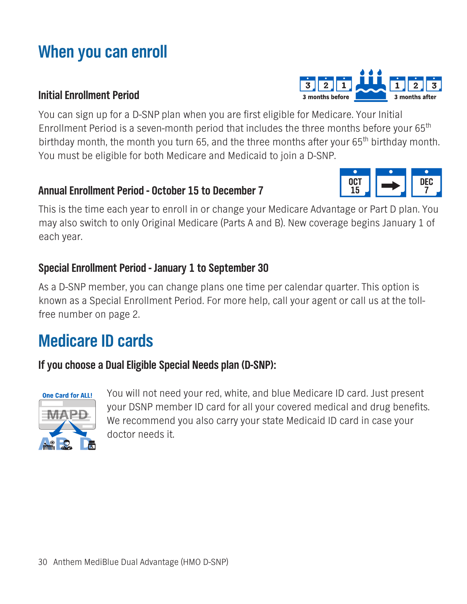# **When you can enroll**

### **Initial Enrollment Period**

**You can sign up for a D-SNP plan when you are first eligible for Medicare. Your Initial Enrollment Period is a seven-month period that includes the three months before your 65th** birthday month, the month you turn 65, and the three months after your 65<sup>th</sup> birthday month. **You must be eligible for both Medicare and Medicaid to join a D-SNP.**

## **Annual Enrollment Period - October 15 to December 7**

**This is the time each year to enroll in or change your Medicare Advantage or Part D plan. You may also switch to only Original Medicare (Parts A and B). New coverage begins January 1 of each year.**

# **Special Enrollment Period - January 1 to September 30**

**As a D-SNP member, you can change plans one time per calendar quarter. This option is known as a Special Enrollment Period. For more help, call your agent or call us at the tollfree number on page 2.**

# **Medicare ID cards**

**If you choose a Dual Eligible Special Needs plan (D-SNP):**



**You will not need your red, white, and blue Medicare ID card. Just present your DSNP member ID card for all your covered medical and drug benefits. We recommend you also carry your state Medicaid ID card in case your doctor needs it.**



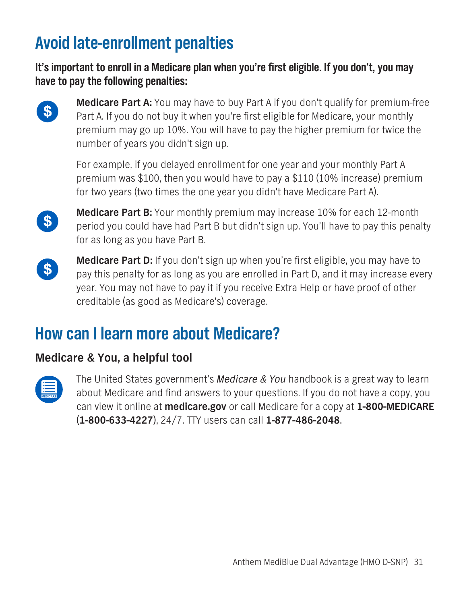# **Avoid late-enrollment penalties**

**It's important to enroll in a Medicare plan when you're first eligible. If you don't, you may have to pay the following penalties:**



**Medicare Part A: You may have to buy Part A if you don't qualify for premium-free Part A. If you do not buy it when you're first eligible for Medicare, your monthly premium may go up 10%. You will have to pay the higher premium for twice the number of years you didn't sign up.**

**For example, if you delayed enrollment for one year and your monthly Part A premium was \$100, then you would have to pay a \$110 (10% increase) premium for two years (two times the one year you didn't have Medicare Part A).** 



**Medicare Part B: Your monthly premium may increase 10% for each 12-month period you could have had Part B but didn't sign up. You'll have to pay this penalty for as long as you have Part B.**



**Medicare Part D: If you don't sign up when you're first eligible, you may have to pay this penalty for as long as you are enrolled in Part D, and it may increase every year. You may not have to pay it if you receive Extra Help or have proof of other creditable (as good as Medicare's) coverage.**

# **How can I learn more about Medicare?**

# **Medicare & You, a helpful tool**



**The United States government's** *Medicare & You* **handbook is a great way to learn about Medicare and find answers to your questions. If you do not have a copy, you can view it online at medicare.gov or call Medicare for a copy at 1-800-MEDICARE (1-800-633-4227), 24/7. TTY users can call 1-877-486-2048.**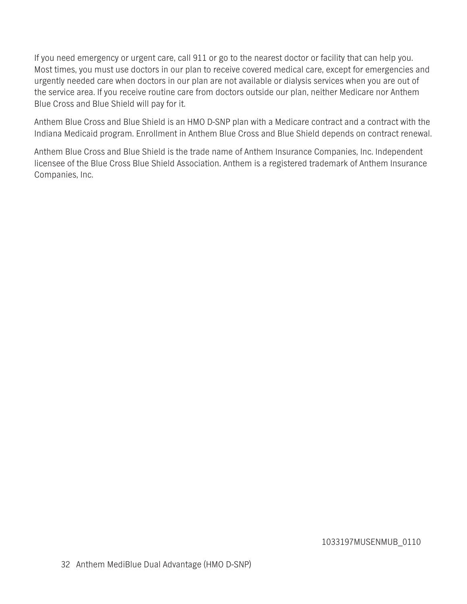**If you need emergency or urgent care, call 911 or go to the nearest doctor or facility that can help you. Most times, you must use doctors in our plan to receive covered medical care, except for emergencies and urgently needed care when doctors in our plan are not available or dialysis services when you are out of the service area. If you receive routine care from doctors outside our plan, neither Medicare nor Anthem Blue Cross and Blue Shield will pay for it.**

**Anthem Blue Cross and Blue Shield is an HMO D-SNP plan with a Medicare contract and a contract with the Indiana Medicaid program. Enrollment in Anthem Blue Cross and Blue Shield depends on contract renewal.**

**Anthem Blue Cross and Blue Shield is the trade name of Anthem Insurance Companies, Inc. Independent licensee of the Blue Cross Blue Shield Association. Anthem is a registered trademark of Anthem Insurance Companies, Inc.**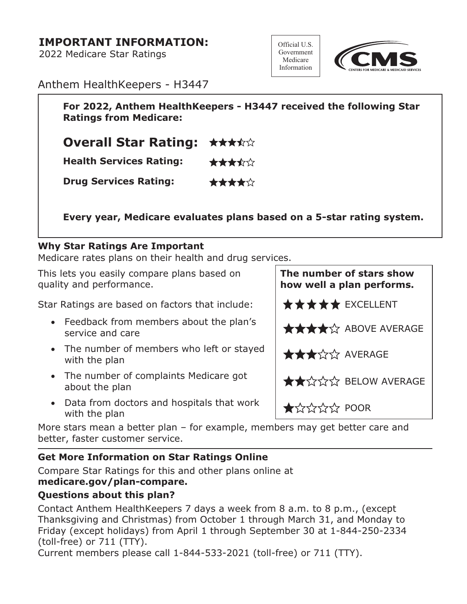### **IMPORTANT INFORMATION:**

**2022 Medicare Star Ratings**





**Anthem HealthKeepers - H3447**

**For 2022, Anthem HealthKeepers - H3447 received the following Star Ratings from Medicare:**

**Overall Star Rating:** ★★★☆☆

**Health Services Rating:** ★★★★☆

**Drug Services Rating:** \*\*\*\*\*

**Every year, Medicare evaluates plans based on a 5-star rating system.**

#### **Why Star Ratings Are Important**

**Medicare rates plans on their health and drug services.**

**This lets you easily compare plans based on quality and performance.**

Star Ratings are based on factors that include: **EX** <del>★★★★</del> EXCELLENT

- **• Feedback from members about the plan's**  service and care **ABOVE AVERAGE**
- **• The number of members who left or stayed With the plan AVERAGE** with the plan
- **• The number of complaints Medicare got about the plan BELOW AVERAGE**
- **• Data from doctors and hospitals that work Pata from doctors and nospitals triat WOLK**  $\star$

**More stars mean a better plan – for example, members may get better care and better, faster customer service.**

### **Get More Information on Star Ratings Online**

**Compare Star Ratings for this and other plans online at [medicare.gov/plan-compare.](medicare.gov/plan-compare)**

#### **Questions about this plan?**

**Contact Anthem HealthKeepers 7 days a week from 8 a.m. to 8 p.m., (except Thanksgiving and Christmas) from October 1 through March 31, and Monday to Friday (except holidays) from April 1 through September 30 at 1-844-250-2334 (toll-free) or 711 (TTY).** 

**Current members please call 1-844-533-2021 (toll-free) or 711 (TTY).** 

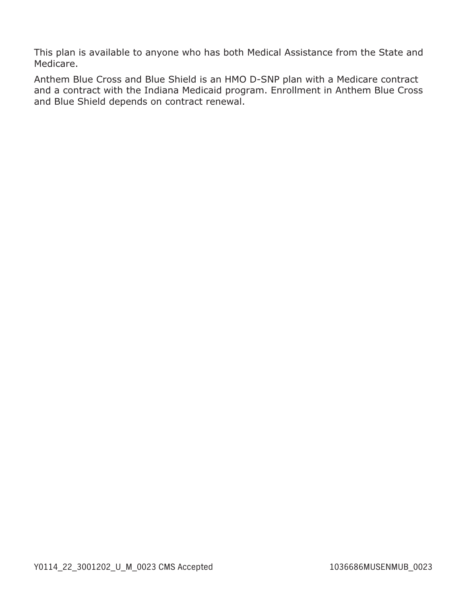**This plan is available to anyone who has both Medical Assistance from the State and Medicare.**

**Anthem Blue Cross and Blue Shield is an HMO D-SNP plan with a Medicare contract and a contract with the Indiana Medicaid program. Enrollment in Anthem Blue Cross and Blue Shield depends on contract renewal.**